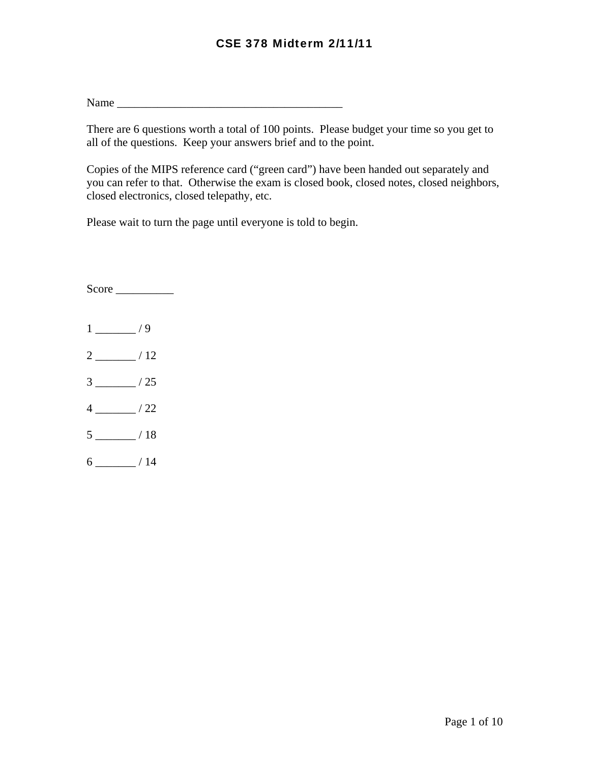Name \_\_\_\_\_\_\_\_\_\_\_\_\_\_\_\_\_\_\_\_\_\_\_\_\_\_\_\_\_\_\_\_\_\_\_\_\_\_\_

There are 6 questions worth a total of 100 points. Please budget your time so you get to all of the questions. Keep your answers brief and to the point.

Copies of the MIPS reference card ("green card") have been handed out separately and you can refer to that. Otherwise the exam is closed book, closed notes, closed neighbors, closed electronics, closed telepathy, etc.

Please wait to turn the page until everyone is told to begin.

Score \_\_\_\_\_\_\_\_\_\_  $1 \_/9$ 2 \_\_\_\_\_\_\_ / 12  $3 \_ 25$  $4 \_/22$  $5 \_ 18$  $6 \_$ / 14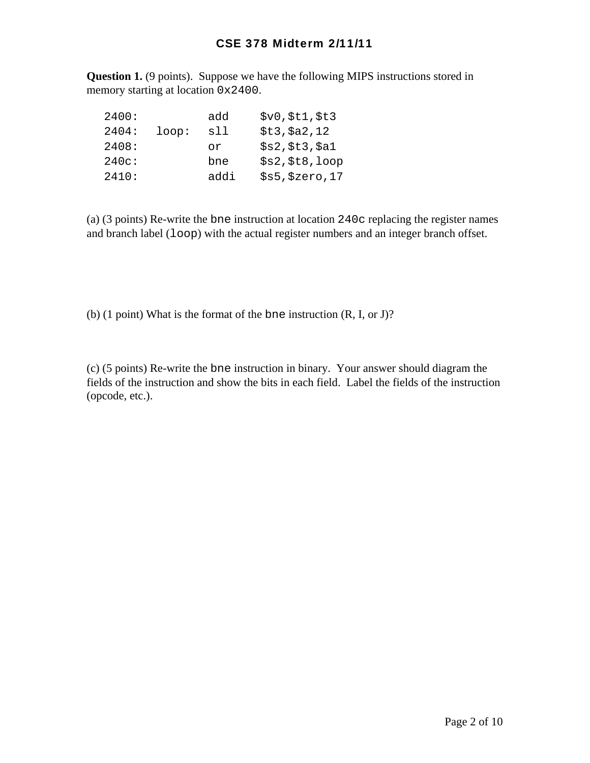**Question 1.** (9 points). Suppose we have the following MIPS instructions stored in memory starting at location 0x2400.

| 2400: |       | add  | \$v0, \$t1, \$t3 |
|-------|-------|------|------------------|
| 2404: | loop: | sll  | \$t3, \$a2, 12   |
| 2408: |       | or   | \$s2, \$t3, \$a1 |
| 240c: |       | bne  | \$s2, \$t8, loop |
| 2410: |       | addi | \$s5, \$zero, 17 |

(a) (3 points) Re-write the bne instruction at location 240c replacing the register names and branch label (loop) with the actual register numbers and an integer branch offset.

(b) (1 point) What is the format of the bne instruction (R, I, or J)?

(c) (5 points) Re-write the bne instruction in binary. Your answer should diagram the fields of the instruction and show the bits in each field. Label the fields of the instruction (opcode, etc.).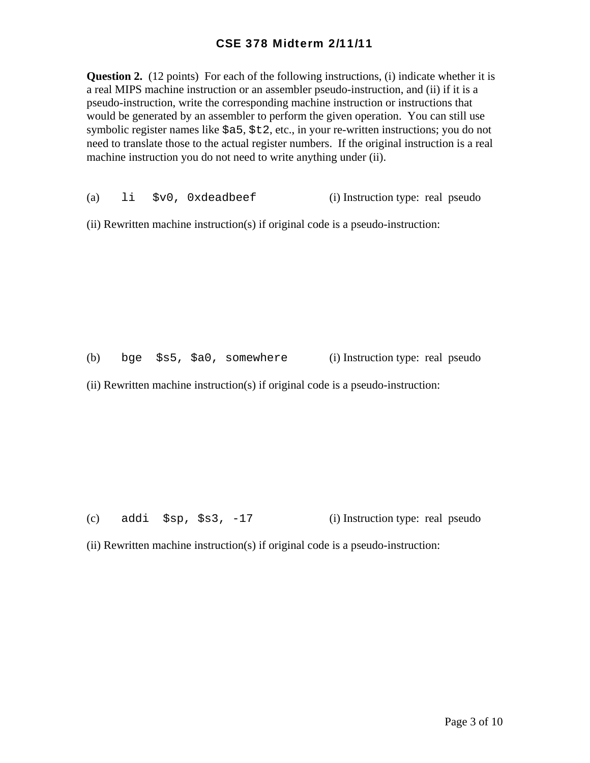**Question 2.** (12 points) For each of the following instructions, (i) indicate whether it is a real MIPS machine instruction or an assembler pseudo-instruction, and (ii) if it is a pseudo-instruction, write the corresponding machine instruction or instructions that would be generated by an assembler to perform the given operation. You can still use symbolic register names like \$a5, \$t2, etc., in your re-written instructions; you do not need to translate those to the actual register numbers. If the original instruction is a real machine instruction you do not need to write anything under (ii).

(a) li \$v0, 0xdeadbeef (i) Instruction type: real pseudo

(ii) Rewritten machine instruction(s) if original code is a pseudo-instruction:

(b) bge \$s5, \$a0, somewhere (i) Instruction type: real pseudo

(ii) Rewritten machine instruction(s) if original code is a pseudo-instruction:

(c) addi  $$sp, $s3, -17$  (i) Instruction type: real pseudo

(ii) Rewritten machine instruction(s) if original code is a pseudo-instruction: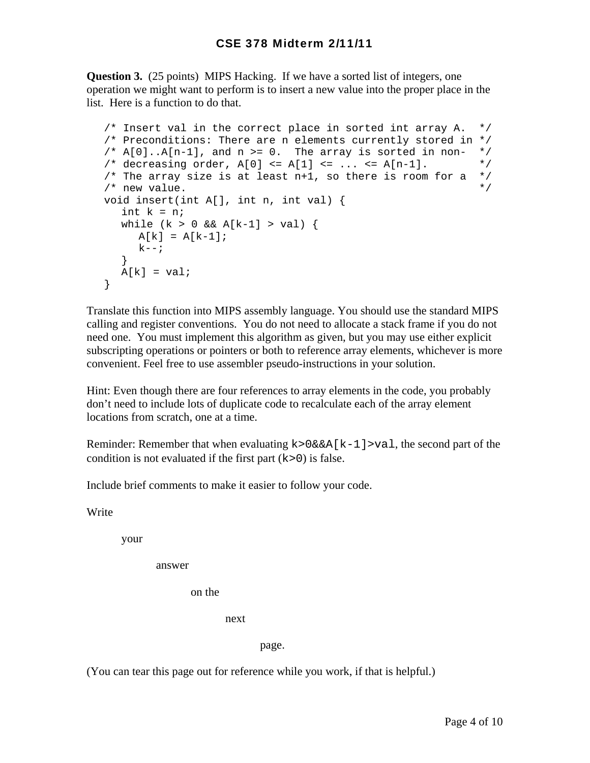**Question 3.** (25 points) MIPS Hacking. If we have a sorted list of integers, one operation we might want to perform is to insert a new value into the proper place in the list. Here is a function to do that.

```
 /* Insert val in the correct place in sorted int array A. */ 
 /* Preconditions: There are n elements currently stored in */ 
/* A[0].A[n-1], and n >= 0. The array is sorted in non- *//* decreasing order, A[0] <= A[1] <= ... <= A[n-1]. */
/* The array size is at least n+1, so there is room for a */\frac{1}{2} new value.
 void insert(int A[], int n, int val) { 
  int k = n;
  while (k > 0 \& k \& A[k-1] > val) {
     A[k] = A[k-1];
     k--; } 
  A[k] = val;
 }
```
Translate this function into MIPS assembly language. You should use the standard MIPS calling and register conventions. You do not need to allocate a stack frame if you do not need one. You must implement this algorithm as given, but you may use either explicit subscripting operations or pointers or both to reference array elements, whichever is more convenient. Feel free to use assembler pseudo-instructions in your solution.

Hint: Even though there are four references to array elements in the code, you probably don't need to include lots of duplicate code to recalculate each of the array element locations from scratch, one at a time.

Reminder: Remember that when evaluating  $k > 0$ &&A[k-1]>val, the second part of the condition is not evaluated if the first part  $(k>0)$  is false.

Include brief comments to make it easier to follow your code.

Write

your

answer

on the

next next

page.

(You can tear this page out for reference while you work, if that is helpful.)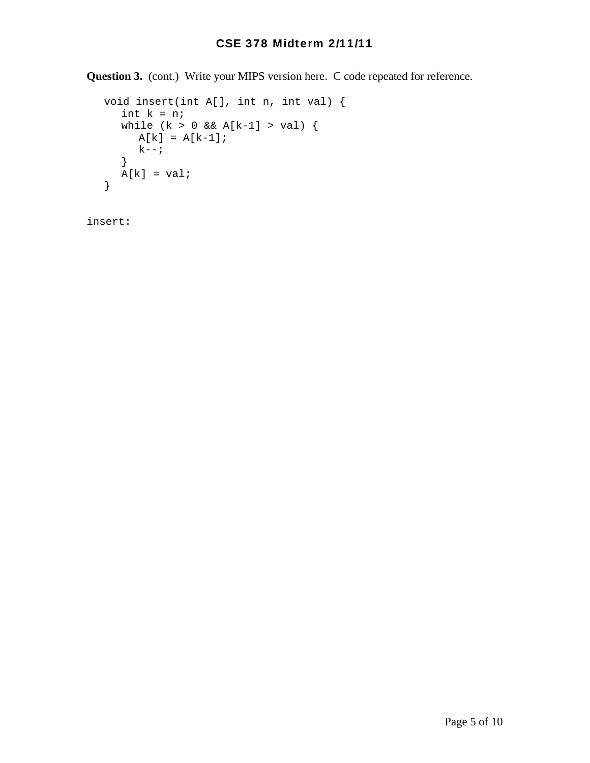**Question 3.** (cont.) Write your MIPS version here. C code repeated for reference.

```
 void insert(int A[], int n, int val) { 
   int k = n;
  while (k > 0 \& k \land [k-1] > val) {
     A[k] = A[k-1];k--; } 
  A[k] = val; }
```
insert: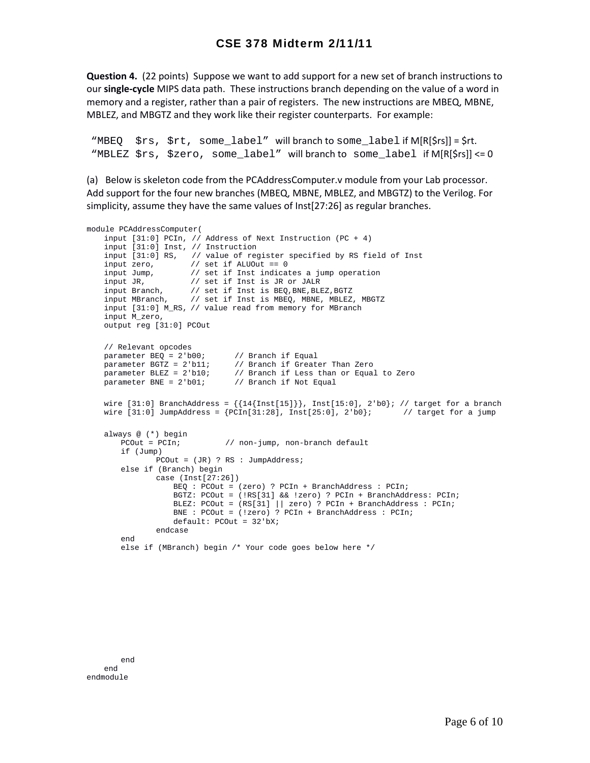**Question 4.** (22 points) Suppose we want to add support for a new set of branch instructions to our **single‐cycle** MIPS data path. These instructions branch depending on the value of a word in memory and a register, rather than a pair of registers. The new instructions are MBEQ, MBNE, MBLEZ, and MBGTZ and they work like their register counterparts. For example:

"MBEQ \$rs, \$rt, some\_label" will branch to some\_label if M[R[\$rs]] = \$rt. "MBLEZ \$rs, \$zero, some\_label" will branch to some\_label if M[R[\$rs]] <= 0

(a) Below is skeleton code from the PCAddressComputer.v module from your Lab processor. Add support for the four new branches (MBEQ, MBNE, MBLEZ, and MBGTZ) to the Verilog. For simplicity, assume they have the same values of Inst[27:26] as regular branches.

```
module PCAddressComputer(
     input [31:0] PCIn, // Address of Next Instruction (PC + 4)
     input [31:0] Inst, // Instruction
     input [31:0] RS, // value of register specified by RS field of Inst 
 input zero, // set if ALUOut == 0
 input Jump, // set if Inst indicates a jump operation
    input JR, // set if Inst is JR or JALR
 input Branch, // set if Inst is BEQ,BNE,BLEZ,BGTZ
 input MBranch, // set if Inst is MBEQ, MBNE, MBLEZ, MBGTZ
    input [31:0] M_RS, // value read from memory for MBranch
    input M_zero, 
    output reg [31:0] PCOut
    // Relevant opcodes
   parameter BEQ = 2'b00; // Branch if Equal<br>parameter BGTZ = 2'b11; // Branch if Great
                                 // Branch if Greater Than Zero
   parameter BLEZ = 2'b10; // Branch if Less than or Equal to Zero parameter BNE = 2'b01; // Branch if Not Equal
                               \frac{1}{2} Branch if Not Equal
   wire [31:0] BranchAddress = \{\{14\{\text{Inst}[15]\}\}\}\, Inst[15:0], 2'b0}; // target for a branch
   wire [31:0] JumpAddress = {PCIn[31:28]}, Inst[25:0], 2'bb; // target for a jump
    always @ (*) begin
                               // non-jump, non-branch default
        if (Jump)
               PCOut = (JR) ? RS : JumpAddress;
        else if (Branch) begin
                case (Inst[27:26])
                    BEQ : PCOut = (zero) ? PCIn + BranchAddress : PCIn;
                     BGTZ: PCOut = (!RS[31] && !zero) ? PCIn + BranchAddress: PCIn;
                    BLEZ: PCOut = (RS[31] || zero) ? PCIn + BranchAddress : PCIn;
                    BNE : PCOut = (!zero) ? PCIn + BranchAddress : PCIn;
                    default: PCOut = 32'bX;
                 endcase
        end 
        else if (MBranch) begin /* Your code goes below here */
```
end end endmodule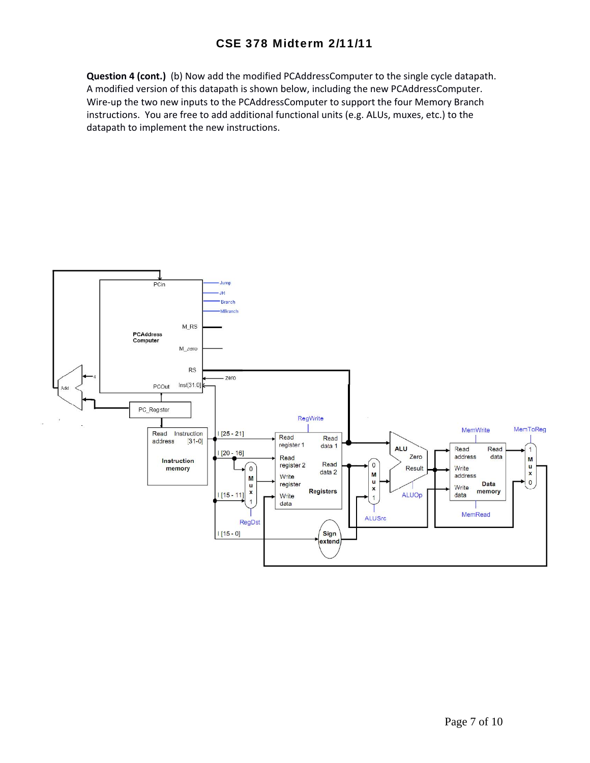**Question 4 (cont.)** (b) Now add the modified PCAddressComputer to the single cycle datapath. A modified version of this datapath is shown below, including the new PCAddressComputer. Wire-up the two new inputs to the PCAddressComputer to support the four Memory Branch instructions. You are free to add additional functional units (e.g. ALUs, muxes, etc.) to the datapath to implement the new instructions.

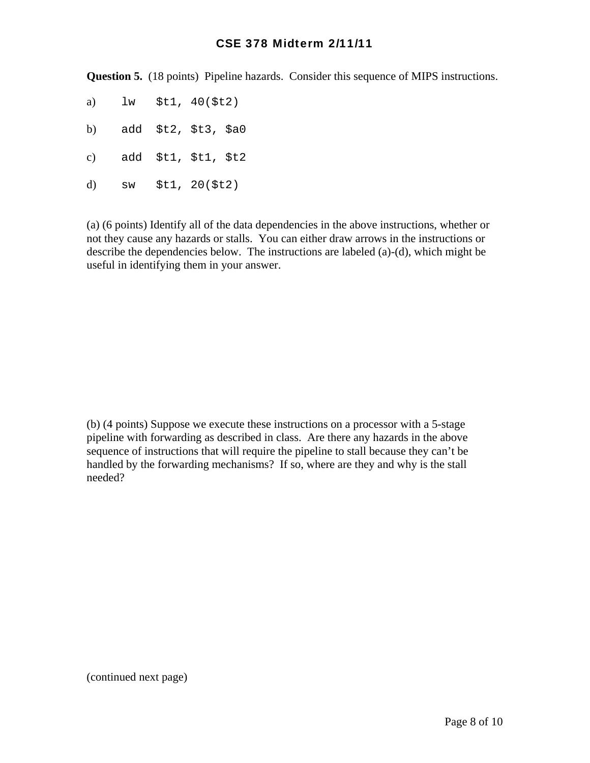**Question 5.** (18 points) Pipeline hazards. Consider this sequence of MIPS instructions.

- a) lw \$t1, 40(\$t2)
- b) add \$t2, \$t3, \$a0
- c) add \$t1, \$t1, \$t2
- d) sw \$t1, 20(\$t2)

(a) (6 points) Identify all of the data dependencies in the above instructions, whether or not they cause any hazards or stalls. You can either draw arrows in the instructions or describe the dependencies below. The instructions are labeled (a)-(d), which might be useful in identifying them in your answer.

(b) (4 points) Suppose we execute these instructions on a processor with a 5-stage pipeline with forwarding as described in class. Are there any hazards in the above sequence of instructions that will require the pipeline to stall because they can't be handled by the forwarding mechanisms? If so, where are they and why is the stall needed?

(continued next page)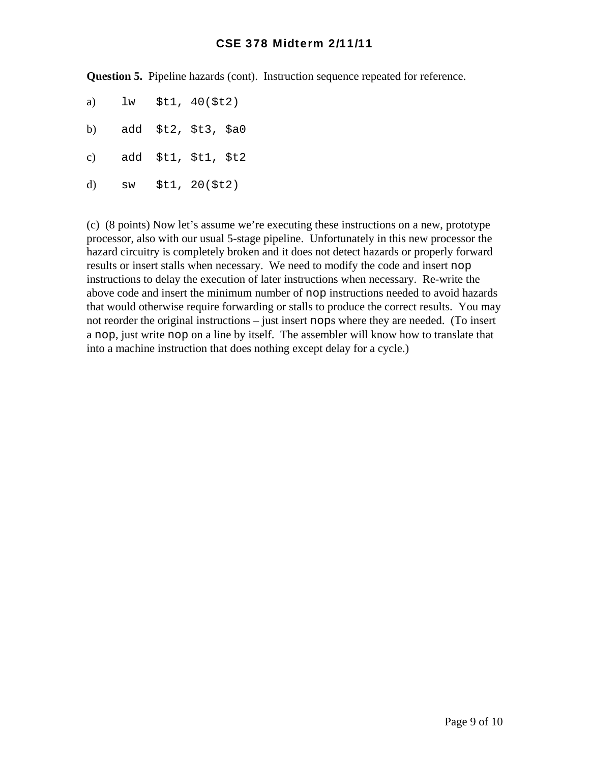**Question 5.** Pipeline hazards (cont). Instruction sequence repeated for reference.

- a) lw \$t1, 40(\$t2)
- b) add \$t2, \$t3, \$a0
- c) add \$t1, \$t1, \$t2
- d) sw \$t1, 20(\$t2)

(c) (8 points) Now let's assume we're executing these instructions on a new, prototype processor, also with our usual 5-stage pipeline. Unfortunately in this new processor the hazard circuitry is completely broken and it does not detect hazards or properly forward results or insert stalls when necessary. We need to modify the code and insert nop instructions to delay the execution of later instructions when necessary. Re-write the above code and insert the minimum number of nop instructions needed to avoid hazards that would otherwise require forwarding or stalls to produce the correct results. You may not reorder the original instructions – just insert nops where they are needed. (To insert a nop, just write nop on a line by itself. The assembler will know how to translate that into a machine instruction that does nothing except delay for a cycle.)